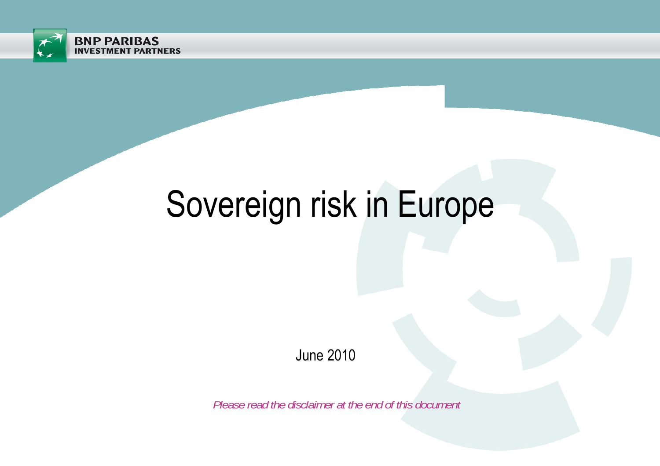

# Sovereign risk in Europe

June 2010

*Please read the disclaimer at the end of this document*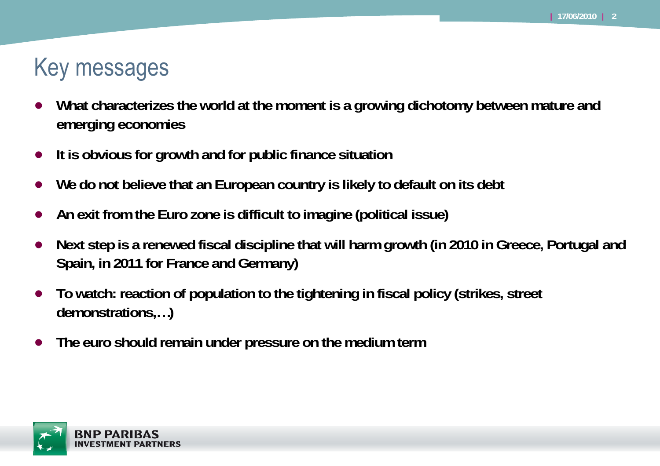## Key messages

- ● **What characterizes the world at the moment is a growing dichotomy between mature and emerging economies**
- ●**It is obvious for growth and for public finance situation**
- ●**We do not believe that an European country is likely to default on its debt**
- ●**An exit from the Euro zone is difficult to imagine (political issue)**
- ● **Next step is a renewed fiscal discipline that will harm growth (in 2010 in Greece, Portugal and Spain, in 2011 for France and Germany)**
- ● **To watch: reaction of population to the tightening in fiscal policy (strikes, street demonstrations,…)**
- ●**The euro should remain under pressure on the medium term**

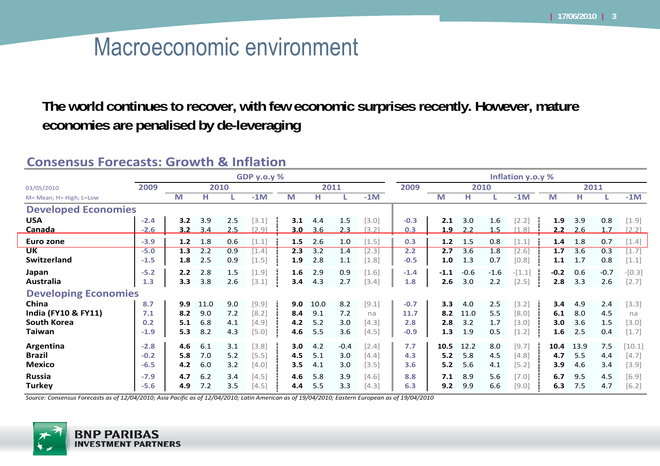## Macroeconomic environment

**The world continues to recover, with few economic surprises recently. However, mature economies are penalised by de-leveraging**

#### **Consensus Forecasts: Growth & Inflation**

|                                | <b>GDP y.o.y %</b> |      |      |     |         |      |      |        |         | Inflation y.o.y % |        |        |        |          |        |      |        |          |
|--------------------------------|--------------------|------|------|-----|---------|------|------|--------|---------|-------------------|--------|--------|--------|----------|--------|------|--------|----------|
| 03/05/2010                     | 2009               | 2010 |      |     |         | 2011 |      |        |         | 2009              | 2010   |        |        |          | 2011   |      |        |          |
| M= Mean; H= High; L=Low        |                    | M    | н    |     | $-1M$   | M    | н    |        | $-1M$   |                   | M      | н      |        | $-1M$    | M      | н    |        | $-1M$    |
| <b>Developed Economies</b>     |                    |      |      |     |         |      |      |        |         |                   |        |        |        |          |        |      |        |          |
| <b>USA</b>                     | $-2.4$             | 3.2  | 3.9  | 2.5 | [3.1]   | 3.1  | 4.4  | 1.5    | $[3.0]$ | $-0.3$            | 2.1    | 3.0    | 1.6    | $[2.2]$  | 1.9    | 3.9  | 0.8    | $[1.9]$  |
| Canada                         | $-2.6$             | 3.2  | 3.4  | 2.5 | $[2.9]$ | 3.0  | 3.6  | 2.3    | [3.2]   | 0.3               | 1.9    | 2.2    | 1.5    | $[1.8]$  | 2.2    | 2.6  | 1.7    | [2.2]    |
| Euro zone                      | $-3.9$             | 1.2  | 1.8  | 0.6 | $[1.1]$ | 1.5  | 2.6  | 1.0    | $[1.5]$ | 0.3               | 1.2    | 1.5    | 0.8    | $[1.1]$  | 1.4    | 1.8  | 0.7    | $[1.4]$  |
| <b>UK</b>                      | $-5.0$             | 1.3  | 2.2  | 0.9 | $[1.4]$ | 2.3  | 3.2  | 1.4    | $[2.3]$ | 2.2               | 2.7    | 3.6    | 1.8    | $[2.6]$  | 1.7    | 3.6  | 0.3    | $[1.7]$  |
| <b>Switzerland</b>             | $-1.5$             | 1.8  | 2.5  | 0.9 | $[1.5]$ | 1.9  | 2.8  | 1.1    | $[1.8]$ | $-0.5$            | 1.0    | 1.3    | 0.7    | [0.8]    | 1.1    | 1.7  | 0.8    | $[1.1]$  |
| Japan                          | $-5.2$             | 2.2  | 2.8  | 1.5 | $[1.9]$ | 1.6  | 2.9  | 0.9    | $[1.6]$ | $-1.4$            | $-1.1$ | $-0.6$ | $-1.6$ | $-[1.1]$ | $-0.2$ | 0.6  | $-0.7$ | $-[0.3]$ |
| Australia                      | 1.3                | 3.3  | 3.8  | 2.6 | [3.1]   | 3.4  | 4.3  | 2.7    | $[3.4]$ | 1.8               | 2.6    | 3.0    | 2.2    | $[2.5]$  | 2.8    | 3.3  | 2.6    | $[2.7]$  |
| <b>Developing Economies</b>    |                    |      |      |     |         |      |      |        |         |                   |        |        |        |          |        |      |        |          |
| China                          | 8.7                | 9.9  | 11.0 | 9.0 | [9.9]   | 9.0  | 10.0 | 8.2    | [9.1]   | $-0.7$            | 3.3    | 4.0    | 2.5    | [3.2]    | 3.4    | 4.9  | 2.4    | $[3.3]$  |
| <b>India (FY10 &amp; FY11)</b> | 7.1                | 8.2  | 9.0  | 7.2 | [8.2]   | 8.4  | 9.1  | 7.2    | na      | 11.7              | 8.2    | 11.0   | 5.5    | [8.0]    | 6.1    | 8.0  | 4.5    | na       |
| <b>South Korea</b>             | 0.2                | 5.1  | 6.8  | 4.1 | $[4.9]$ | 4.2  | 5.2  | 3.0    | $[4.3]$ | 2.8               | 2.8    | 3.2    | 1.7    | [3.0]    | 3.0    | 3.6  | 1.5    | $[3.0]$  |
| Taiwan                         | $-1.9$             | 5.3  | 8.2  | 4.3 | $[5.0]$ | 4.6  | 5.5  | 3.6    | $[4.5]$ | $-0.9$            | 1.3    | 1.9    | 0.5    | $[1.2]$  | 1.6    | 2.5  | 0.4    | $[1.7]$  |
| Argentina                      | $-2.8$             | 4.6  | 6.1  | 3.1 | $[3.8]$ | 3.0  | 4.2  | $-0.4$ | $[2.4]$ | 7.7               | 10.5   | 12.2   | 8.0    | [9.7]    | 10.4   | 13.9 | 7.5    | [10.1]   |
| <b>Brazil</b>                  | $-0.2$             | 5.8  | 7.0  | 5.2 | $[5.5]$ | 4.5  | 5.1  | 3.0    | $[4.4]$ | 4.3               | 5.2    | 5.8    | 4.5    | [4.8]    | 4.7    | 5.5  | 4.4    | $[4.7]$  |
| <b>Mexico</b>                  | $-6.5$             | 4.2  | 6.0  | 3.2 | $[4.0]$ | 3.5  | 4.1  | 3.0    | $[3.5]$ | 3.6               | 5.2    | 5.6    | 4.1    | [5.2]    | 3.9    | 4.6  | 3.4    | [3.9]    |
| <b>Russia</b>                  | $-7.9$             | 4.7  | 6.2  | 3.4 | $[4.5]$ | 4.6  | 5.8  | 3.9    | [4.6]   | 8.8               | 7.1    | 8.9    | 5.6    | $[7.0]$  | 6.7    | 9.5  | 4.5    | $[6.9]$  |
| <b>Turkey</b>                  | $-5.6$             | 4.9  | 7.2  | 3.5 | [4.5]   | 4.4  | 5.5  | 3.3    | $[4.3]$ | 6.3               | 9.2    | 9.9    | 6.6    | [9.0]    | 6.3    | 7.5  | 4.7    | [6.2]    |

Source: Consensus Forecasts as of 12/04/2010; Asia Pacific as of 12/04/2010; Latin American as of 19/04/2010; Eastern European as of 19/04/2010

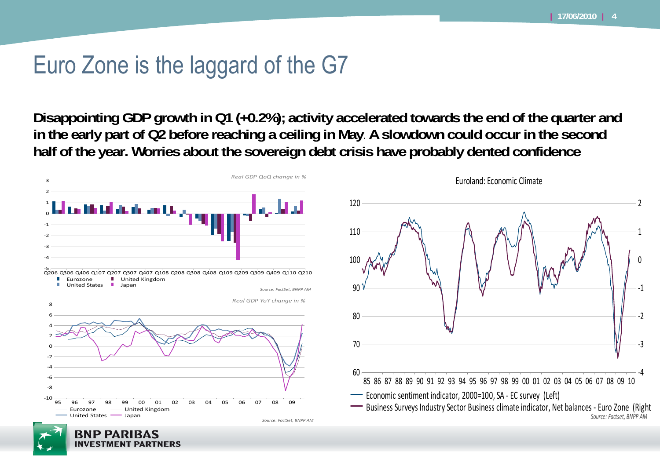### Euro Zone is the laggard of the G7

**Disappointing GDP growth in Q1 (+0.2%); activity accelerated towards the end of the quarter and in the early part of Q2 before reaching a ceiling in May**. **A slowdown could occur in the second half of the year. Worries about the sovereign debt crisis have probably dented confidence**



**INVESTMENT PARTNERS** 

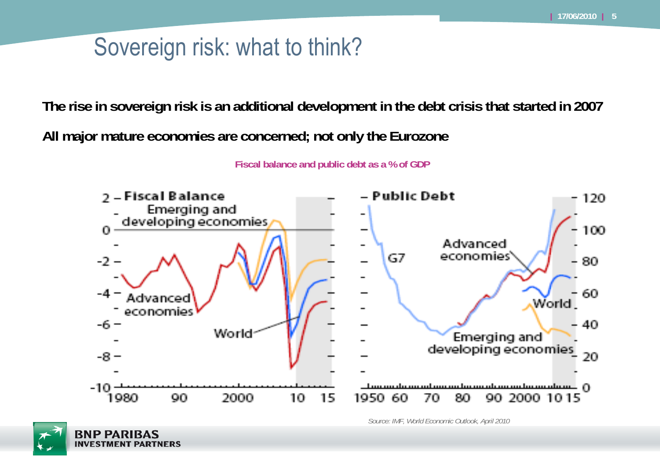# Sovereign risk: what to think?

**The rise in sovereign risk is an additional development in the debt crisis that started in 2007**

**All major mature economies are concerned; not only the Eurozone**

**Fiscal balance and public debt as a % of GDP**



*Source: IMF, World Economic Outlook, April 2010*

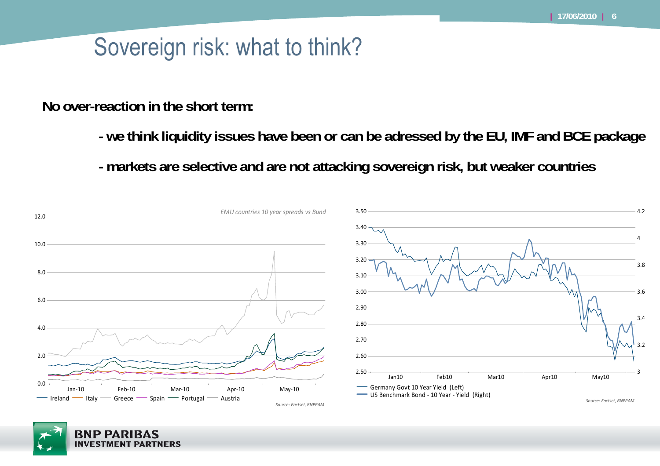# Sovereign risk: what to think?

**No over-reaction in the short term:**

- **- we think liquidity issues have been or can be adressed by the EU, IMF and BCE package**
- **- markets are selective and are not attacking sovereign risk, but weaker countries**



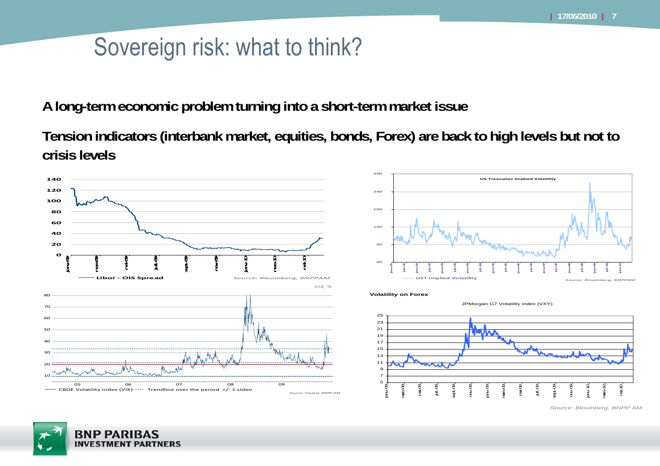# Sovereign risk: what to think?

**A long-term economic problem turning into a short-term market issue**

**Tension indicators (interbank market, equities, bonds, Forex) are back to high levels but not to crisis levels**



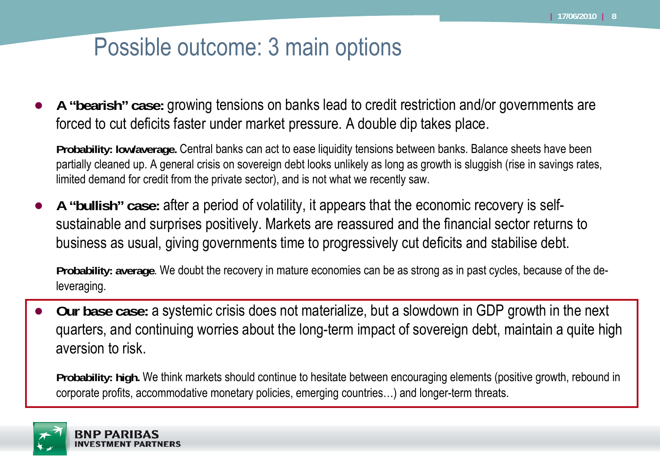### Possible outcome: 3 main options

● **A "bearish" case:** growing tensions on banks lead to credit restriction and/or governments are forced to cut deficits faster under market pressure. A double dip takes place.

**Probability: low/average.** Central banks can act to ease liquidity tensions between banks. Balance sheets have been partially cleaned up. A general crisis on sovereign debt looks unlikely as long as growth is sluggish (rise in savings rates, limited demand for credit from the private sector), and is not what we recently saw.

● **A "bullish" case:** after a period of volatility, it appears that the economic recovery is selfsustainable and surprises positively. Markets are reassured and the financial sector returns to business as usual, giving governments time to progressively cut deficits and stabilise debt.

**Probability: average**. We doubt the recovery in mature economies can be as strong as in past cycles, because of the deleveraging.

● **Our base case:** a systemic crisis does not materialize, but a slowdown in GDP growth in the next quarters, and continuing worries about the long-term impact of sovereign debt, maintain a quite high aversion to risk.

**Probability: high.** We think markets should continue to hesitate between encouraging elements (positive growth, rebound in corporate profits, accommodative monetary policies, emerging countries…) and longer-term threats.

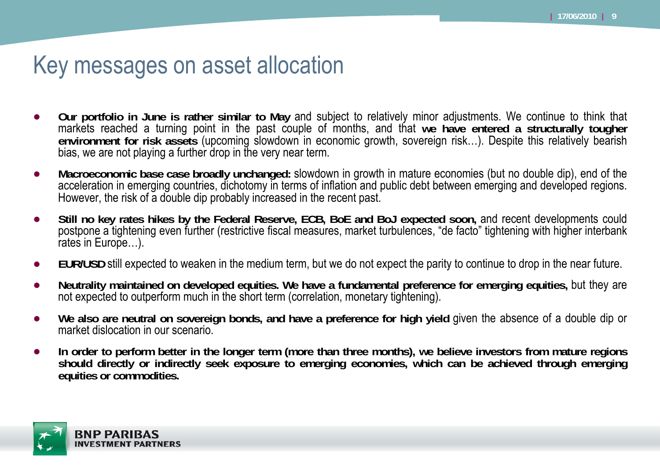#### Key messages on asset allocation

- ● **Our portfolio in June is rather similar to May** and subject to relatively minor adjustments. We continue to think that markets reached a turning point in the past couple of months, and that **we have entered a structurally tougher environment for risk assets** (upcoming slowdown in economic growth, sovereign risk…). Despite this relatively bearish bias, we are not playing a further drop in the very near term.
- ● **Macroeconomic base case broadly unchanged:** slowdown in growth in mature economies (but no double dip), end of the acceleration in emerging countries, dichotomy in terms of inflation and public debt between emerging and developed regions. However, the risk of a double dip probably increased in the recent past.
- ● **Still no key rates hikes by the Federal Reserve, ECB, BoE and BoJ expected soon,** and recent developments could postpone a tightening even further (restrictive fiscal measures, market turbulences, "de facto" tightening with higher interbank rates in Europe…).
- ●**EUR/USD** still expected to weaken in the medium term, but we do not expect the parity to continue to drop in the near future.
- ●**Neutrality maintained on developed equities. We have a fundamental preference for emerging equities,** but they are not expected to outperform much in the short term (correlation, monetary tightening).
- ● **We also are neutral on sovereign bonds, and have a preference for high yield** given the absence of a double dip or market dislocation in our scenario.
- $\bullet$  **In order to perform better in the longer term (more than three months), we believe investors from mature regions should directly or indirectly seek exposure to emerging economies, which can be achieved through emerging equities or commodities.**